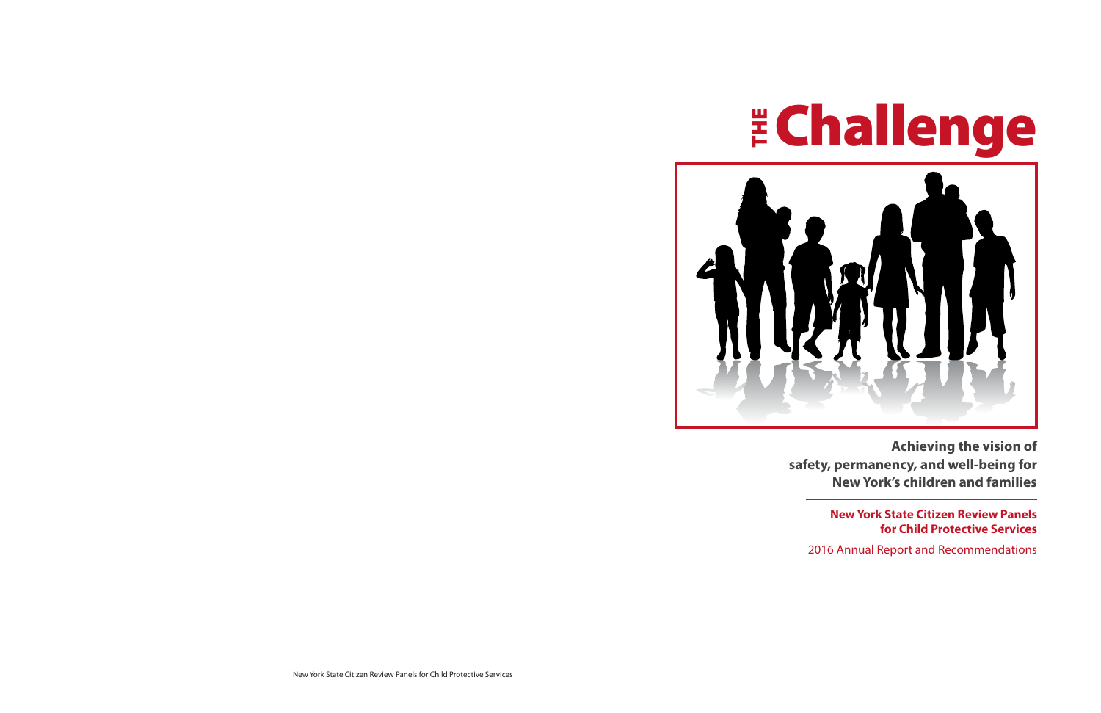

**Achieving the vision of safety, permanency, and well-being for New York's children and families**

> **New York State Citizen Review Panels for Child Protective Services**

2016 Annual Report and Recommendations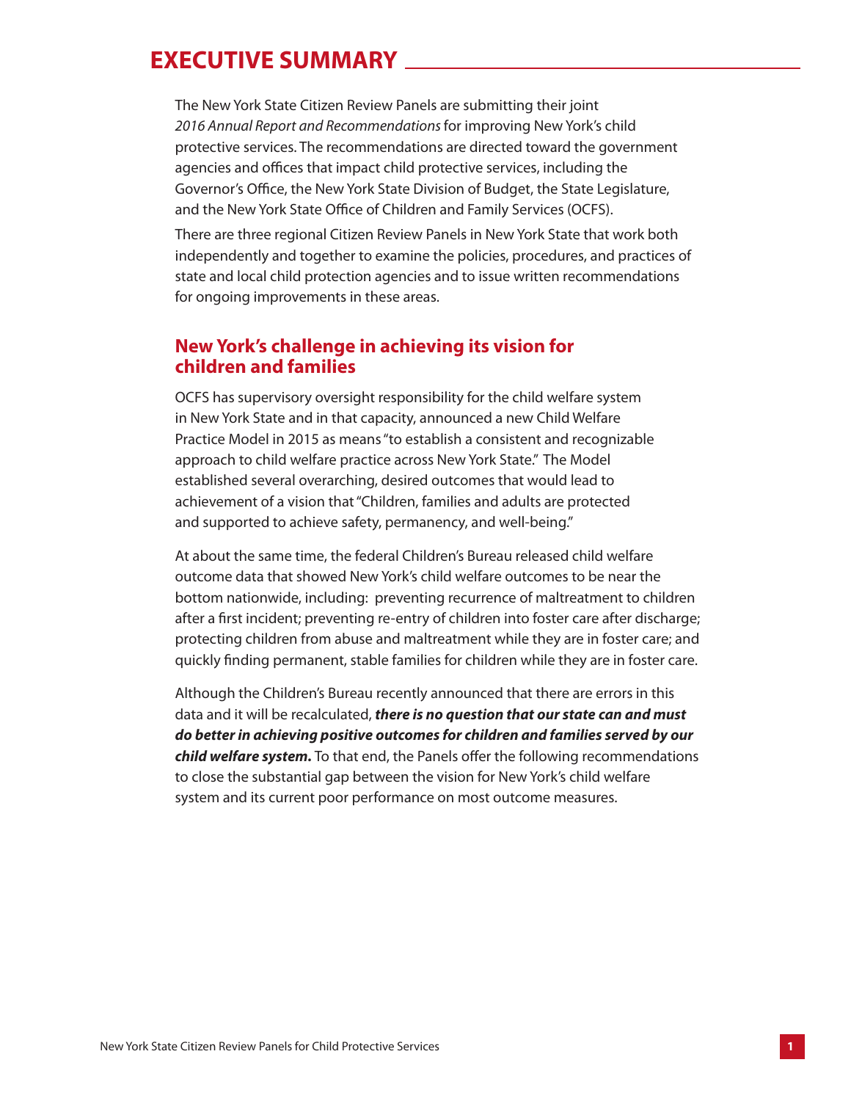## **EXECUTIVE SUMMARY**

The New York State Citizen Review Panels are submitting their joint *2016 Annual Report and Recommendations* for improving New York's child protective services. The recommendations are directed toward the government agencies and offices that impact child protective services, including the Governor's Office, the New York State Division of Budget, the State Legislature, and the New York State Office of Children and Family Services (OCFS).

There are three regional Citizen Review Panels in New York State that work both independently and together to examine the policies, procedures, and practices of state and local child protection agencies and to issue written recommendations for ongoing improvements in these areas.

## **New York's challenge in achieving its vision for children and families**

OCFS has supervisory oversight responsibility for the child welfare system in New York State and in that capacity, announced a new Child Welfare Practice Model in 2015 as means "to establish a consistent and recognizable approach to child welfare practice across New York State." The Model established several overarching, desired outcomes that would lead to achievement of a vision that "Children, families and adults are protected and supported to achieve safety, permanency, and well-being."

At about the same time, the federal Children's Bureau released child welfare outcome data that showed New York's child welfare outcomes to be near the bottom nationwide, including: preventing recurrence of maltreatment to children after a first incident; preventing re-entry of children into foster care after discharge; protecting children from abuse and maltreatment while they are in foster care; and quickly finding permanent, stable families for children while they are in foster care.

Although the Children's Bureau recently announced that there are errors in this data and it will be recalculated, *there is no question that our state can and must do better in achieving positive outcomes for children and families served by our child welfare system.* To that end, the Panels offer the following recommendations to close the substantial gap between the vision for New York's child welfare system and its current poor performance on most outcome measures.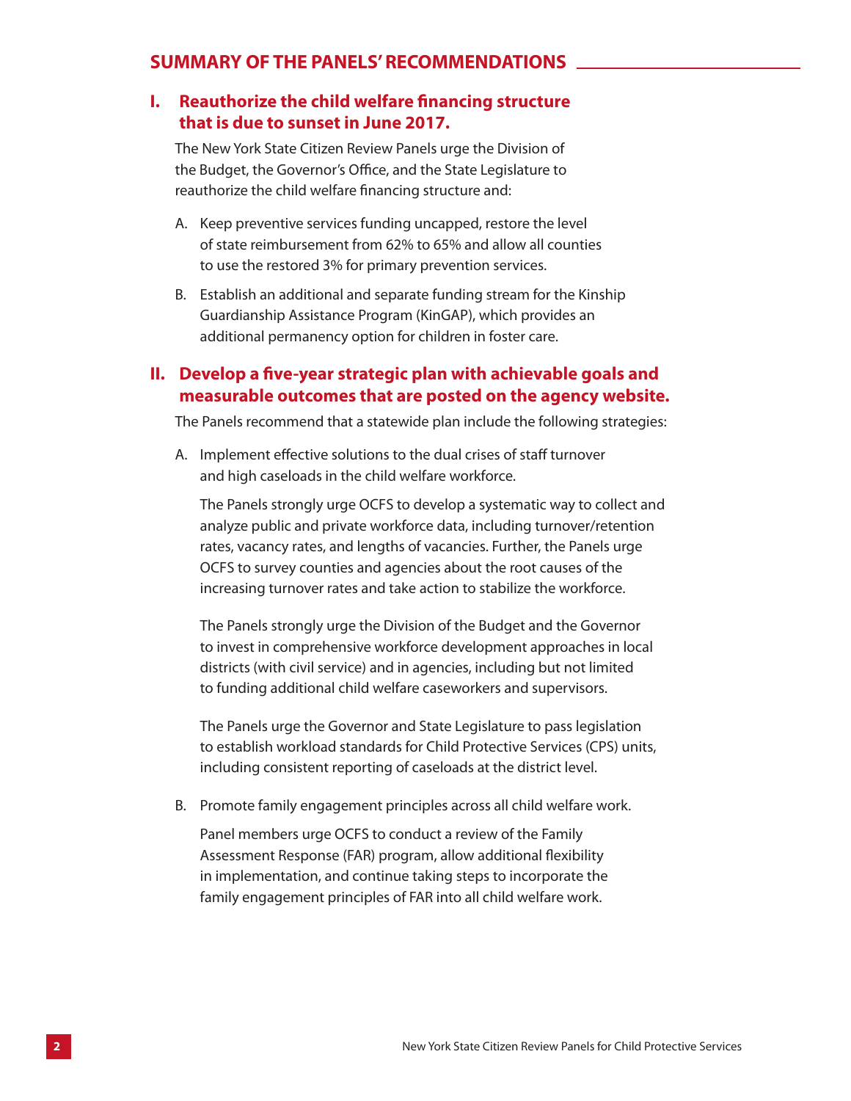### **SUMMARY OF THE PANELS' RECOMMENDATIONS**

## **I. Reauthorize the child welfare financing structure that is due to sunset in June 2017.**

The New York State Citizen Review Panels urge the Division of the Budget, the Governor's Office, and the State Legislature to reauthorize the child welfare financing structure and:

- A. Keep preventive services funding uncapped, restore the level of state reimbursement from 62% to 65% and allow all counties to use the restored 3% for primary prevention services.
- B. Establish an additional and separate funding stream for the Kinship Guardianship Assistance Program (KinGAP), which provides an additional permanency option for children in foster care.

### **II. Develop a five-year strategic plan with achievable goals and measurable outcomes that are posted on the agency website.**

The Panels recommend that a statewide plan include the following strategies:

A. Implement effective solutions to the dual crises of staff turnover and high caseloads in the child welfare workforce.

The Panels strongly urge OCFS to develop a systematic way to collect and analyze public and private workforce data, including turnover/retention rates, vacancy rates, and lengths of vacancies. Further, the Panels urge OCFS to survey counties and agencies about the root causes of the increasing turnover rates and take action to stabilize the workforce.

The Panels strongly urge the Division of the Budget and the Governor to invest in comprehensive workforce development approaches in local districts (with civil service) and in agencies, including but not limited to funding additional child welfare caseworkers and supervisors.

The Panels urge the Governor and State Legislature to pass legislation to establish workload standards for Child Protective Services (CPS) units, including consistent reporting of caseloads at the district level.

B. Promote family engagement principles across all child welfare work.

Panel members urge OCFS to conduct a review of the Family Assessment Response (FAR) program, allow additional flexibility in implementation, and continue taking steps to incorporate the family engagement principles of FAR into all child welfare work.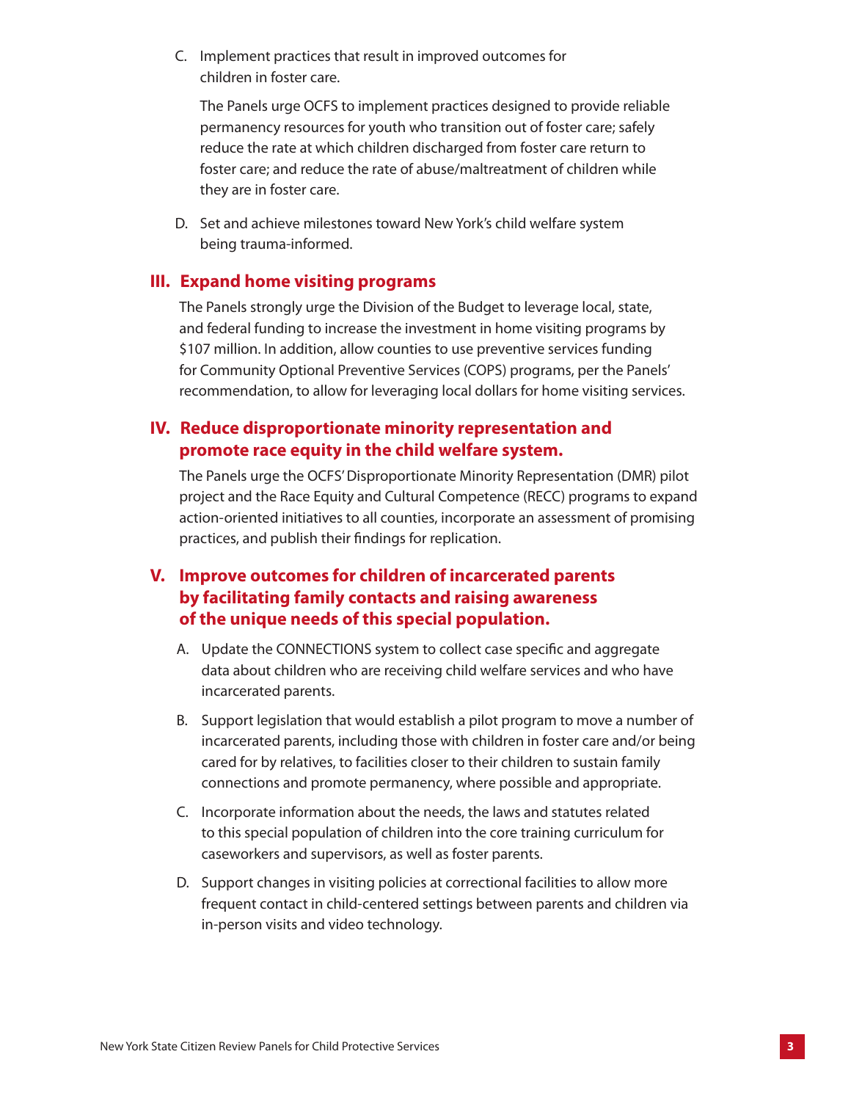C. Implement practices that result in improved outcomes for children in foster care.

The Panels urge OCFS to implement practices designed to provide reliable permanency resources for youth who transition out of foster care; safely reduce the rate at which children discharged from foster care return to foster care; and reduce the rate of abuse/maltreatment of children while they are in foster care.

D. Set and achieve milestones toward New York's child welfare system being trauma-informed.

### **III. Expand home visiting programs**

The Panels strongly urge the Division of the Budget to leverage local, state, and federal funding to increase the investment in home visiting programs by \$107 million. In addition, allow counties to use preventive services funding for Community Optional Preventive Services (COPS) programs, per the Panels' recommendation, to allow for leveraging local dollars for home visiting services.

## **IV. Reduce disproportionate minority representation and promote race equity in the child welfare system.**

The Panels urge the OCFS' Disproportionate Minority Representation (DMR) pilot project and the Race Equity and Cultural Competence (RECC) programs to expand action-oriented initiatives to all counties, incorporate an assessment of promising practices, and publish their findings for replication.

## **V. Improve outcomes for children of incarcerated parents by facilitating family contacts and raising awareness of the unique needs of this special population.**

- A. Update the CONNECTIONS system to collect case specific and aggregate data about children who are receiving child welfare services and who have incarcerated parents.
- B. Support legislation that would establish a pilot program to move a number of incarcerated parents, including those with children in foster care and/or being cared for by relatives, to facilities closer to their children to sustain family connections and promote permanency, where possible and appropriate.
- C. Incorporate information about the needs, the laws and statutes related to this special population of children into the core training curriculum for caseworkers and supervisors, as well as foster parents.
- D. Support changes in visiting policies at correctional facilities to allow more frequent contact in child-centered settings between parents and children via in-person visits and video technology.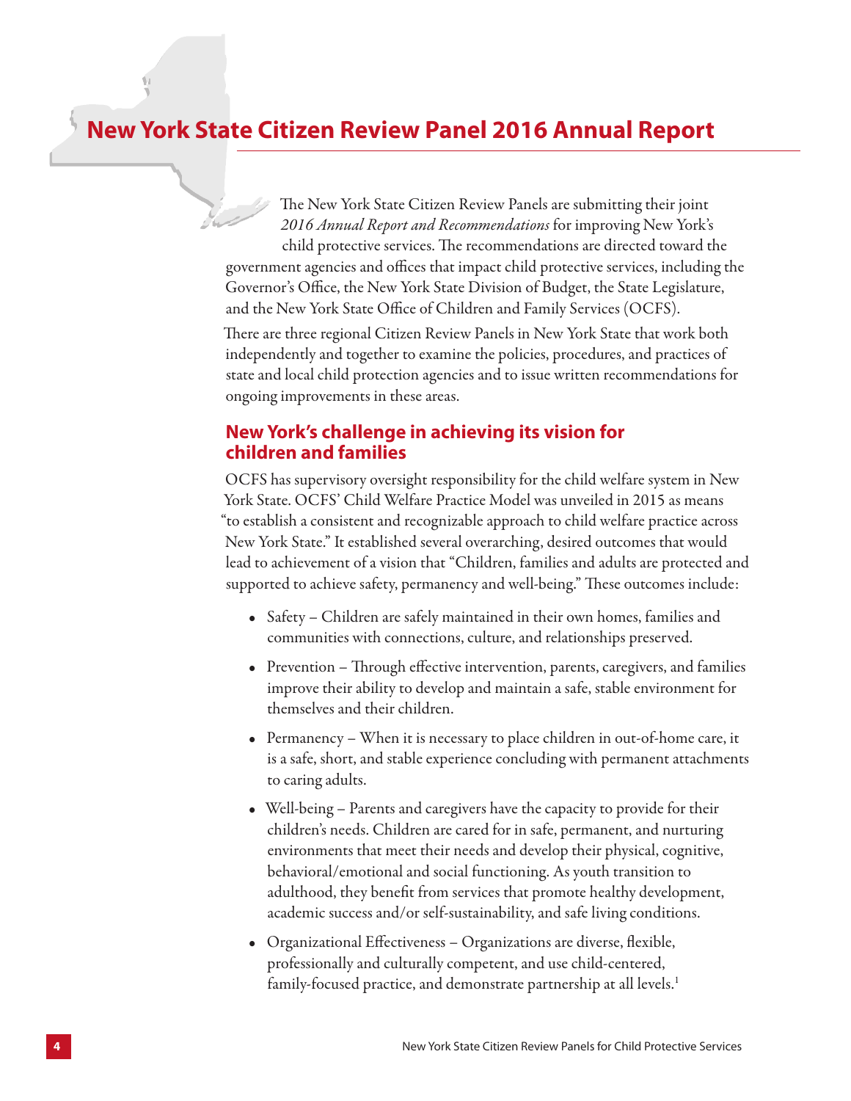## **New York State Citizen Review Panel 2016 Annual Report**

The New York State Citizen Review Panels are submitting their joint *2016 Annual Report and Recommendations* for improving New York's child protective services. The recommendations are directed toward the government agencies and offices that impact child protective services, including the Governor's Office, the New York State Division of Budget, the State Legislature, and the New York State Office of Children and Family Services (OCFS).

There are three regional Citizen Review Panels in New York State that work both independently and together to examine the policies, procedures, and practices of state and local child protection agencies and to issue written recommendations for ongoing improvements in these areas.

## **New York's challenge in achieving its vision for children and families**

OCFS has supervisory oversight responsibility for the child welfare system in New York State. OCFS' Child Welfare Practice Model was unveiled in 2015 as means "to establish a consistent and recognizable approach to child welfare practice across New York State." It established several overarching, desired outcomes that would lead to achievement of a vision that "Children, families and adults are protected and supported to achieve safety, permanency and well-being." These outcomes include:

- Safety Children are safely maintained in their own homes, families and communities with connections, culture, and relationships preserved.
- Prevention Through effective intervention, parents, caregivers, and families improve their ability to develop and maintain a safe, stable environment for themselves and their children.
- Permanency When it is necessary to place children in out-of-home care, it is a safe, short, and stable experience concluding with permanent attachments to caring adults.
- Well-being Parents and caregivers have the capacity to provide for their children's needs. Children are cared for in safe, permanent, and nurturing environments that meet their needs and develop their physical, cognitive, behavioral/emotional and social functioning. As youth transition to adulthood, they benefit from services that promote healthy development, academic success and/or self-sustainability, and safe living conditions.
- Organizational Effectiveness Organizations are diverse, flexible, professionally and culturally competent, and use child-centered, family-focused practice, and demonstrate partnership at all levels.<sup>1</sup>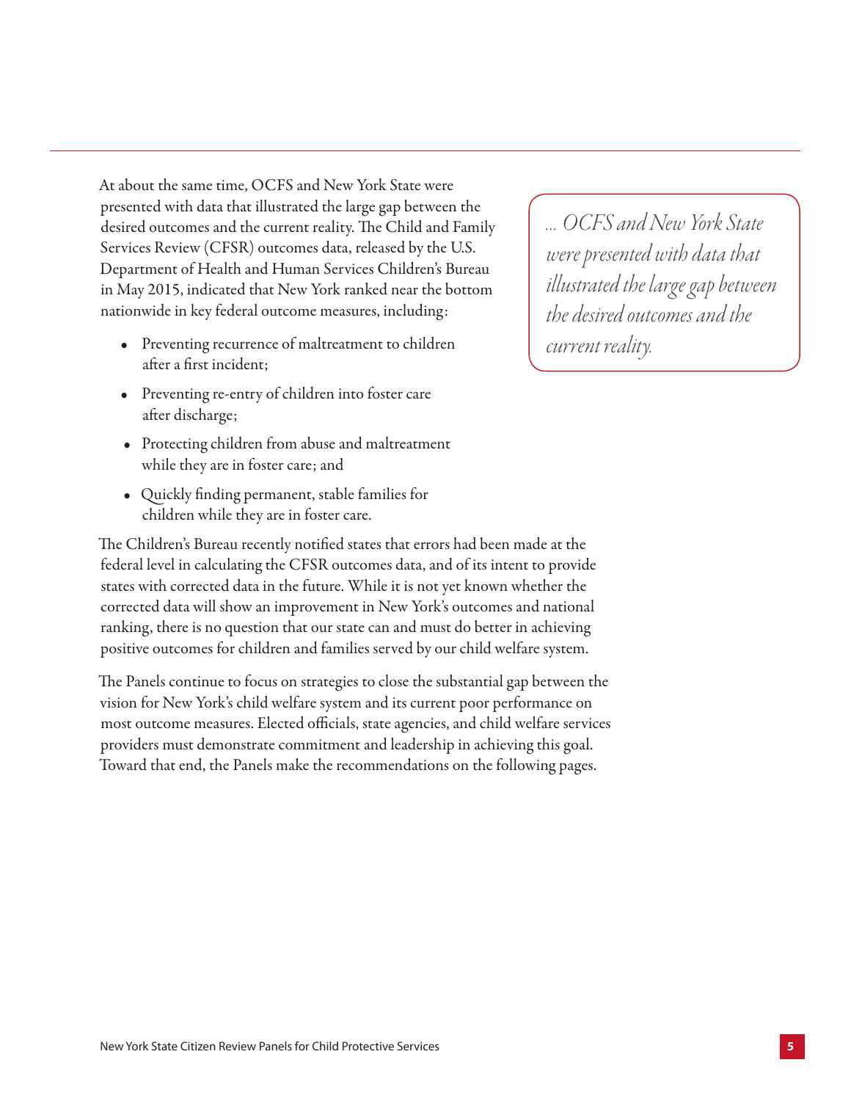At about the same time, OCFS and New York State were presented with data that illustrated the large gap between the desired outcomes and the current reality. The Child and Family Services Review (CFSR) outcomes data, released by the U.S. Department of Health and Human Services Children's Bureau in May 2015, indicated that New York ranked near the bottom nationwide in key federal outcome measures, including:

- Preventing recurrence of maltreatment to children after a first incident;
- Preventing re-entry of children into foster care after discharge;
- Protecting children from abuse and maltreatment while they are in foster care; and
- Quickly finding permanent, stable families for children while they are in foster care.

The Children's Bureau recently notified states that errors had been made at the federal level in calculating the CFSR outcomes data, and of its intent to provide states with corrected data in the future. While it is not yet known whether the corrected data will show an improvement in New York's outcomes and national ranking, there is no question that our state can and must do better in achieving positive outcomes for children and families served by our child welfare system.

The Panels continue to focus on strategies to close the substantial gap between the vision for New York's child welfare system and its current poor performance on most outcome measures. Elected officials, state agencies, and child welfare services providers must demonstrate commitment and leadership in achieving this goal. Toward that end, the Panels make the recommendations on the following pages.

*… OCFS and New York State were presented with data that illustrated the large gap between the desired outcomes and the current reality.*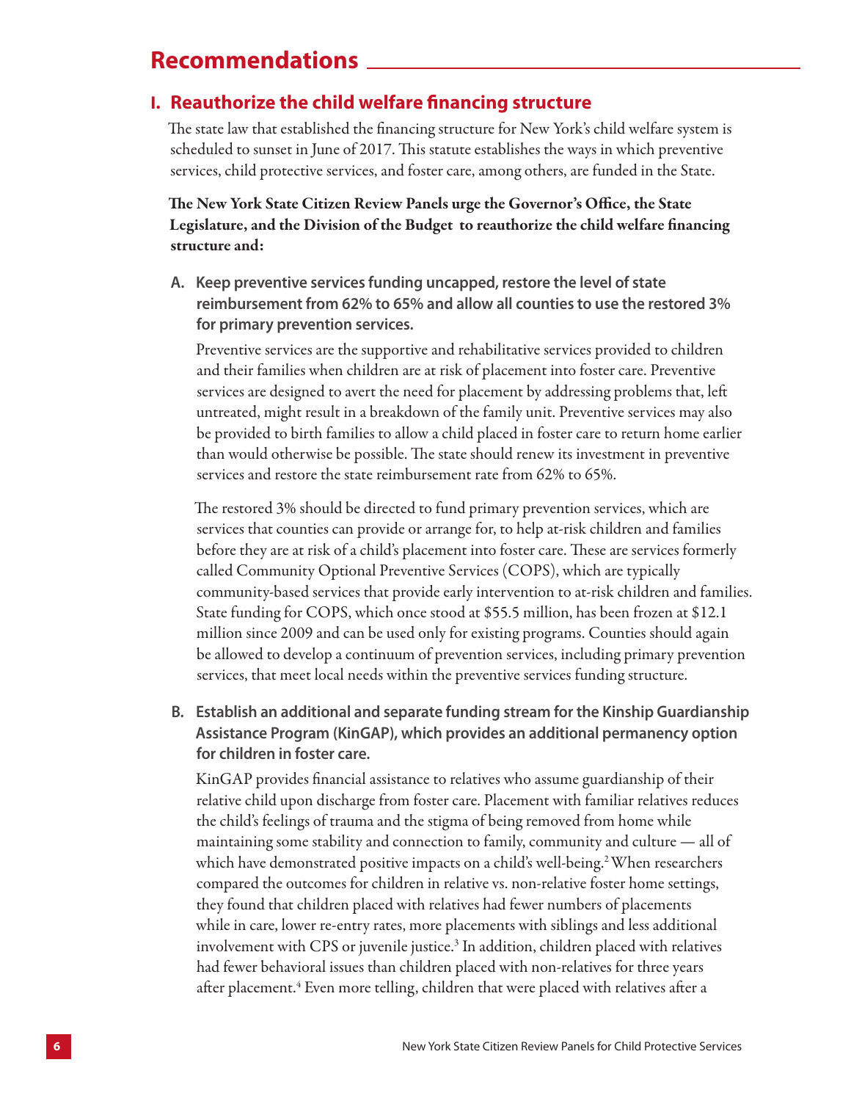## **Recommendations**

## **I. Reauthorize the child welfare financing structure**

The state law that established the financing structure for New York's child welfare system is scheduled to sunset in June of 2017. This statute establishes the ways in which preventive services, child protective services, and foster care, among others, are funded in the State.

## The New York State Citizen Review Panels urge the Governor's Office, the State Legislature, and the Division of the Budget to reauthorize the child welfare financing structure and:

**A. Keep preventive services funding uncapped, restore the level of state reimbursement from 62% to 65% and allow all counties to use the restored 3% for primary prevention services.** 

Preventive services are the supportive and rehabilitative services provided to children and their families when children are at risk of placement into foster care. Preventive services are designed to avert the need for placement by addressing problems that, left untreated, might result in a breakdown of the family unit. Preventive services may also be provided to birth families to allow a child placed in foster care to return home earlier than would otherwise be possible. The state should renew its investment in preventive services and restore the state reimbursement rate from 62% to 65%.

The restored 3% should be directed to fund primary prevention services, which are services that counties can provide or arrange for, to help at-risk children and families before they are at risk of a child's placement into foster care. These are services formerly called Community Optional Preventive Services (COPS), which are typically community-based services that provide early intervention to at-risk children and families. State funding for COPS, which once stood at \$55.5 million, has been frozen at \$12.1 million since 2009 and can be used only for existing programs. Counties should again be allowed to develop a continuum of prevention services, including primary prevention services, that meet local needs within the preventive services funding structure.

## **B. Establish an additional and separate funding stream for the Kinship Guardianship Assistance Program (KinGAP), which provides an additional permanency option for children in foster care.**

KinGAP provides financial assistance to relatives who assume guardianship of their relative child upon discharge from foster care. Placement with familiar relatives reduces the child's feelings of trauma and the stigma of being removed from home while maintaining some stability and connection to family, community and culture — all of which have demonstrated positive impacts on a child's well-being.<sup>2</sup> When researchers compared the outcomes for children in relative vs. non-relative foster home settings, they found that children placed with relatives had fewer numbers of placements while in care, lower re-entry rates, more placements with siblings and less additional involvement with CPS or juvenile justice.<sup>3</sup> In addition, children placed with relatives had fewer behavioral issues than children placed with non-relatives for three years after placement. $\rm ^4$  Even more telling, children that were placed with relatives after a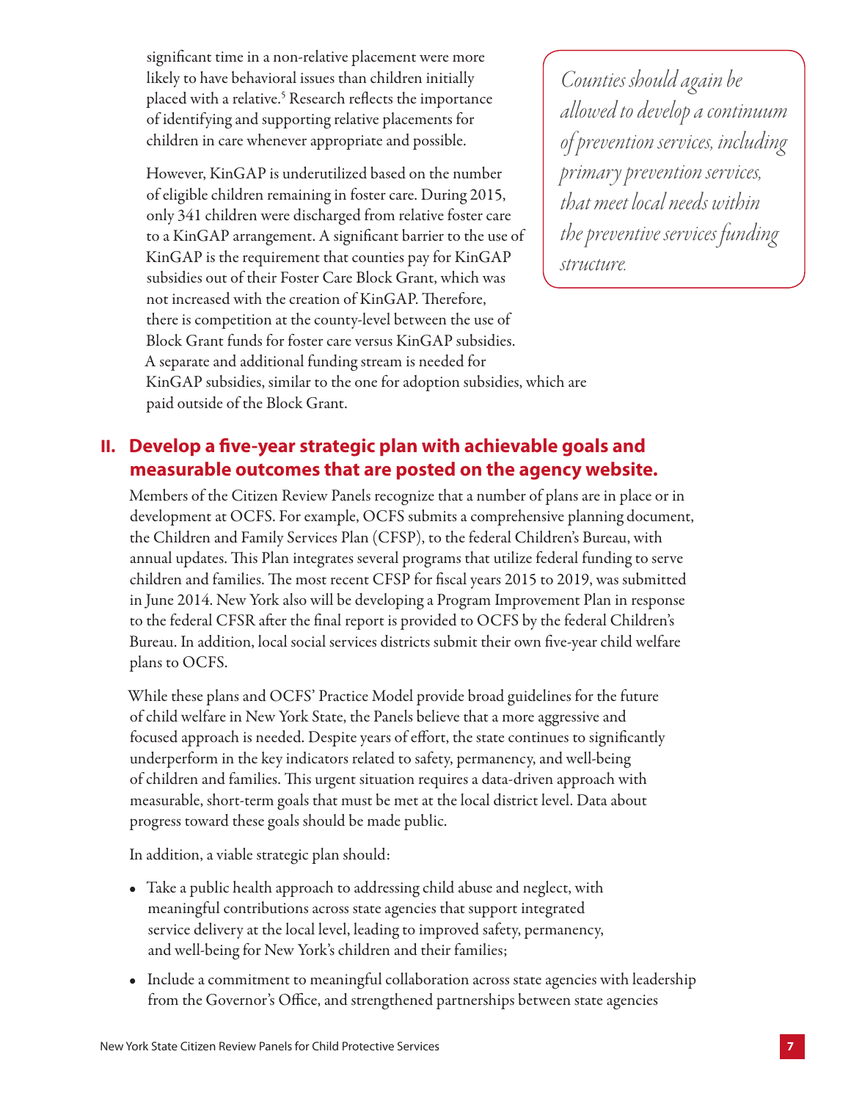significant time in a non-relative placement were more likely to have behavioral issues than children initially placed with a relative.<sup>5</sup> Research reflects the importance of identifying and supporting relative placements for children in care whenever appropriate and possible.

However, KinGAP is underutilized based on the number of eligible children remaining in foster care. During 2015, only 341 children were discharged from relative foster care to a KinGAP arrangement. A significant barrier to the use of KinGAP is the requirement that counties pay for KinGAP subsidies out of their Foster Care Block Grant, which was not increased with the creation of KinGAP. Therefore, there is competition at the county-level between the use of Block Grant funds for foster care versus KinGAP subsidies. A separate and additional funding stream is needed for KinGAP subsidies, similar to the one for adoption subsidies, which are paid outside of the Block Grant.

*Counties should again be allowed to develop a continuum of prevention services, including primary prevention services, that meet local needs within the preventive services funding structure.*

## **II. Develop a five-year strategic plan with achievable goals and measurable outcomes that are posted on the agency website.**

Members of the Citizen Review Panels recognize that a number of plans are in place or in development at OCFS. For example, OCFS submits a comprehensive planning document, the Children and Family Services Plan (CFSP), to the federal Children's Bureau, with annual updates. This Plan integrates several programs that utilize federal funding to serve children and families. The most recent CFSP for fiscal years 2015 to 2019, was submitted in June 2014. New York also will be developing a Program Improvement Plan in response to the federal CFSR after the final report is provided to OCFS by the federal Children's Bureau. In addition, local social services districts submit their own five-year child welfare plans to OCFS.

While these plans and OCFS' Practice Model provide broad guidelines for the future of child welfare in New York State, the Panels believe that a more aggressive and focused approach is needed. Despite years of effort, the state continues to significantly underperform in the key indicators related to safety, permanency, and well-being of children and families. This urgent situation requires a data-driven approach with measurable, short-term goals that must be met at the local district level. Data about progress toward these goals should be made public.

In addition, a viable strategic plan should:

- Take a public health approach to addressing child abuse and neglect, with meaningful contributions across state agencies that support integrated service delivery at the local level, leading to improved safety, permanency, and well-being for New York's children and their families;
- Include a commitment to meaningful collaboration across state agencies with leadership from the Governor's Office, and strengthened partnerships between state agencies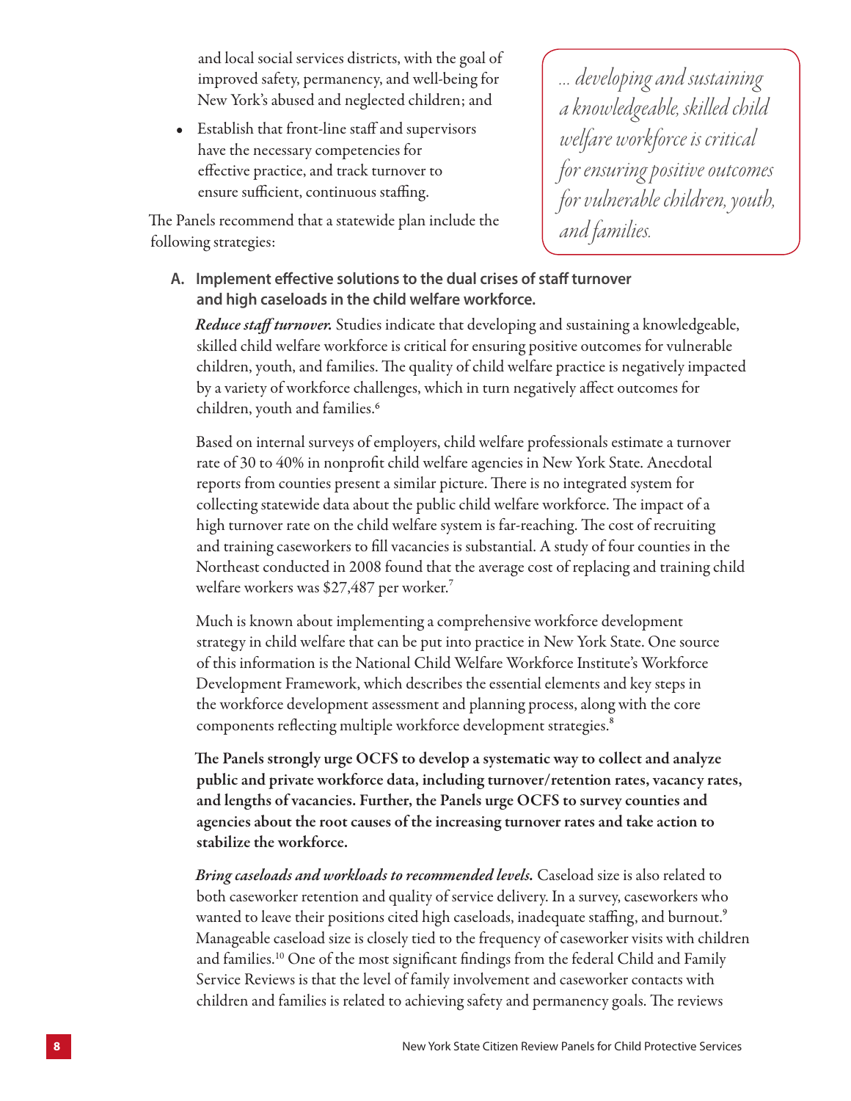and local social services districts, with the goal of improved safety, permanency, and well-being for New York's abused and neglected children; and

• Establish that front-line staff and supervisors have the necessary competencies for effective practice, and track turnover to ensure sufficient, continuous staffing.

The Panels recommend that a statewide plan include the following strategies:

*… developing and sustaining a knowledgeable, skilled child welfare workforce is critical for ensuring positive outcomes for vulnerable children, youth, and families.*

**A. Implement effective solutions to the dual crises of staff turnover and high caseloads in the child welfare workforce.**

*Reduce staff turnover.* Studies indicate that developing and sustaining a knowledgeable, skilled child welfare workforce is critical for ensuring positive outcomes for vulnerable children, youth, and families. The quality of child welfare practice is negatively impacted by a variety of workforce challenges, which in turn negatively affect outcomes for children, youth and families.<sup>6</sup>

Based on internal surveys of employers, child welfare professionals estimate a turnover rate of 30 to 40% in nonprofit child welfare agencies in New York State. Anecdotal reports from counties present a similar picture. There is no integrated system for collecting statewide data about the public child welfare workforce. The impact of a high turnover rate on the child welfare system is far-reaching. The cost of recruiting and training caseworkers to fill vacancies is substantial. A study of four counties in the Northeast conducted in 2008 found that the average cost of replacing and training child welfare workers was \$27,487 per worker.<sup>7</sup>

Much is known about implementing a comprehensive workforce development strategy in child welfare that can be put into practice in New York State. One source of this information is the National Child Welfare Workforce Institute's Workforce Development Framework, which describes the essential elements and key steps in the workforce development assessment and planning process, along with the core components reflecting multiple workforce development strategies.<sup>8</sup>

The Panels strongly urge OCFS to develop a systematic way to collect and analyze public and private workforce data, including turnover/retention rates, vacancy rates, and lengths of vacancies. Further, the Panels urge OCFS to survey counties and agencies about the root causes of the increasing turnover rates and take action to stabilize the workforce.

*Bring caseloads and workloads to recommended levels.* Caseload size is also related to both caseworker retention and quality of service delivery. In a survey, caseworkers who wanted to leave their positions cited high caseloads, inadequate staffing, and burnout.<sup>9</sup> Manageable caseload size is closely tied to the frequency of caseworker visits with children and families.10 One of the most significant findings from the federal Child and Family Service Reviews is that the level of family involvement and caseworker contacts with children and families is related to achieving safety and permanency goals. The reviews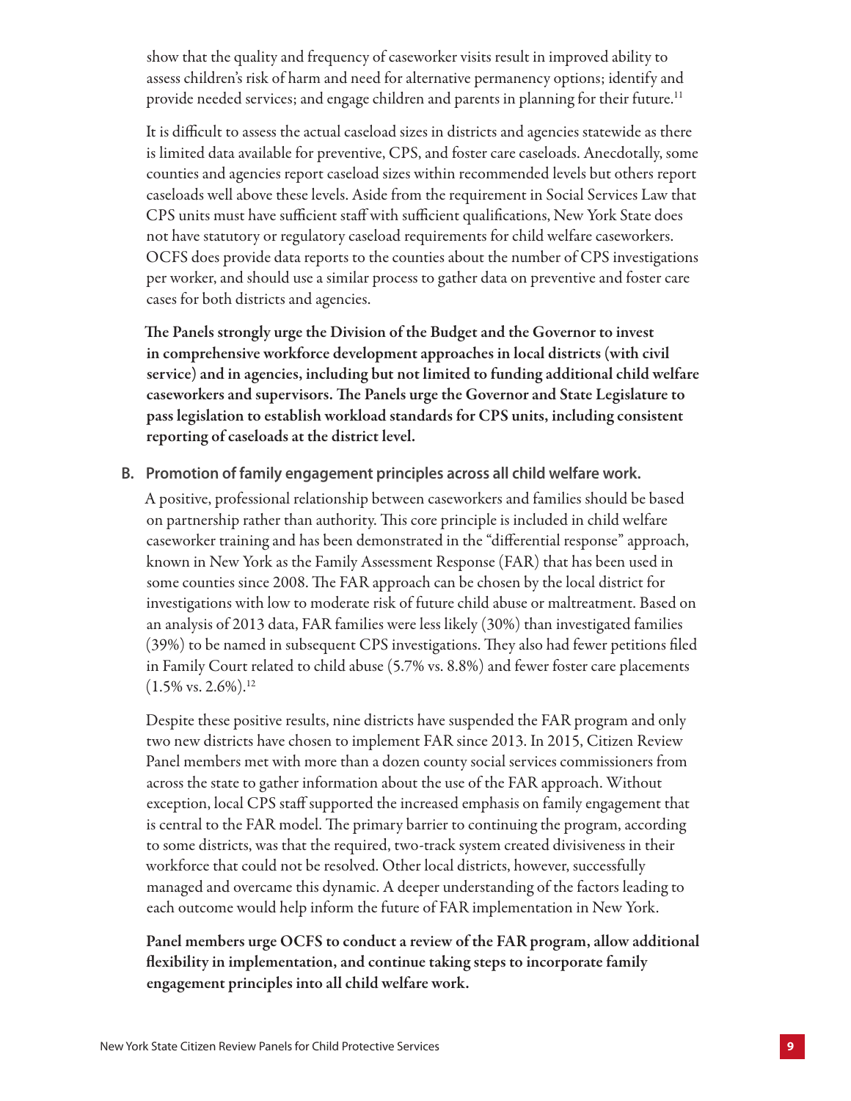show that the quality and frequency of caseworker visits result in improved ability to assess children's risk of harm and need for alternative permanency options; identify and provide needed services; and engage children and parents in planning for their future.<sup>11</sup>

It is difficult to assess the actual caseload sizes in districts and agencies statewide as there is limited data available for preventive, CPS, and foster care caseloads. Anecdotally, some counties and agencies report caseload sizes within recommended levels but others report caseloads well above these levels. Aside from the requirement in Social Services Law that CPS units must have sufficient staff with sufficient qualifications, New York State does not have statutory or regulatory caseload requirements for child welfare caseworkers. OCFS does provide data reports to the counties about the number of CPS investigations per worker, and should use a similar process to gather data on preventive and foster care cases for both districts and agencies.

The Panels strongly urge the Division of the Budget and the Governor to invest in comprehensive workforce development approaches in local districts (with civil service) and in agencies, including but not limited to funding additional child welfare caseworkers and supervisors. The Panels urge the Governor and State Legislature to pass legislation to establish workload standards for CPS units, including consistent reporting of caseloads at the district level.

**B. Promotion of family engagement principles across all child welfare work.** 

A positive, professional relationship between caseworkers and families should be based on partnership rather than authority. This core principle is included in child welfare caseworker training and has been demonstrated in the "differential response" approach, known in New York as the Family Assessment Response (FAR) that has been used in some counties since 2008. The FAR approach can be chosen by the local district for investigations with low to moderate risk of future child abuse or maltreatment. Based on an analysis of 2013 data, FAR families were less likely (30%) than investigated families (39%) to be named in subsequent CPS investigations. They also had fewer petitions filed in Family Court related to child abuse (5.7% vs. 8.8%) and fewer foster care placements  $(1.5\% \text{ vs. } 2.6\%).^{12}$ 

Despite these positive results, nine districts have suspended the FAR program and only two new districts have chosen to implement FAR since 2013. In 2015, Citizen Review Panel members met with more than a dozen county social services commissioners from across the state to gather information about the use of the FAR approach. Without exception, local CPS staff supported the increased emphasis on family engagement that is central to the FAR model. The primary barrier to continuing the program, according to some districts, was that the required, two-track system created divisiveness in their workforce that could not be resolved. Other local districts, however, successfully managed and overcame this dynamic. A deeper understanding of the factors leading to each outcome would help inform the future of FAR implementation in New York.

Panel members urge OCFS to conduct a review of the FAR program, allow additional flexibility in implementation, and continue taking steps to incorporate family engagement principles into all child welfare work.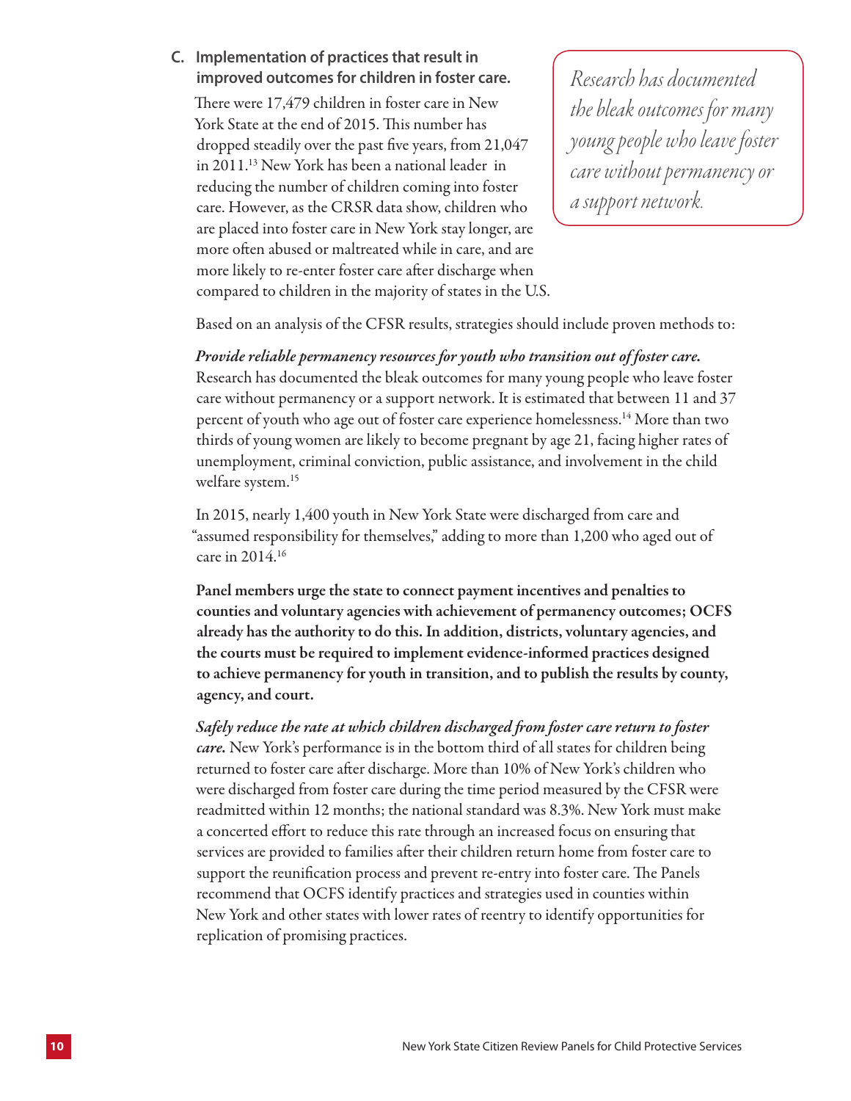**C. Implementation of practices that result in improved outcomes for children in foster care.**

There were 17,479 children in foster care in New York State at the end of 2015. This number has dropped steadily over the past five years, from 21,047 in 2011.13 New York has been a national leader in reducing the number of children coming into foster care. However, as the CRSR data show, children who are placed into foster care in New York stay longer, are more often abused or maltreated while in care, and are more likely to re-enter foster care after discharge when compared to children in the majority of states in the U.S.

*Research has documented the bleak outcomes for many young people who leave foster care without permanency or a support network.*

Based on an analysis of the CFSR results, strategies should include proven methods to:

*Provide reliable permanency resources for youth who transition out of foster care.*  Research has documented the bleak outcomes for many young people who leave foster care without permanency or a support network. It is estimated that between 11 and 37 percent of youth who age out of foster care experience homelessness.14 More than two thirds of young women are likely to become pregnant by age 21, facing higher rates of unemployment, criminal conviction, public assistance, and involvement in the child welfare system.<sup>15</sup>

In 2015, nearly 1,400 youth in New York State were discharged from care and "assumed responsibility for themselves," adding to more than 1,200 who aged out of care in 2014.16

Panel members urge the state to connect payment incentives and penalties to counties and voluntary agencies with achievement of permanency outcomes; OCFS already has the authority to do this. In addition, districts, voluntary agencies, and the courts must be required to implement evidence-informed practices designed to achieve permanency for youth in transition, and to publish the results by county, agency, and court.

*Safely reduce the rate at which children discharged from foster care return to foster care.* New York's performance is in the bottom third of all states for children being returned to foster care after discharge. More than 10% of New York's children who were discharged from foster care during the time period measured by the CFSR were readmitted within 12 months; the national standard was 8.3%. New York must make a concerted effort to reduce this rate through an increased focus on ensuring that services are provided to families after their children return home from foster care to support the reunification process and prevent re-entry into foster care. The Panels recommend that OCFS identify practices and strategies used in counties within New York and other states with lower rates of reentry to identify opportunities for replication of promising practices.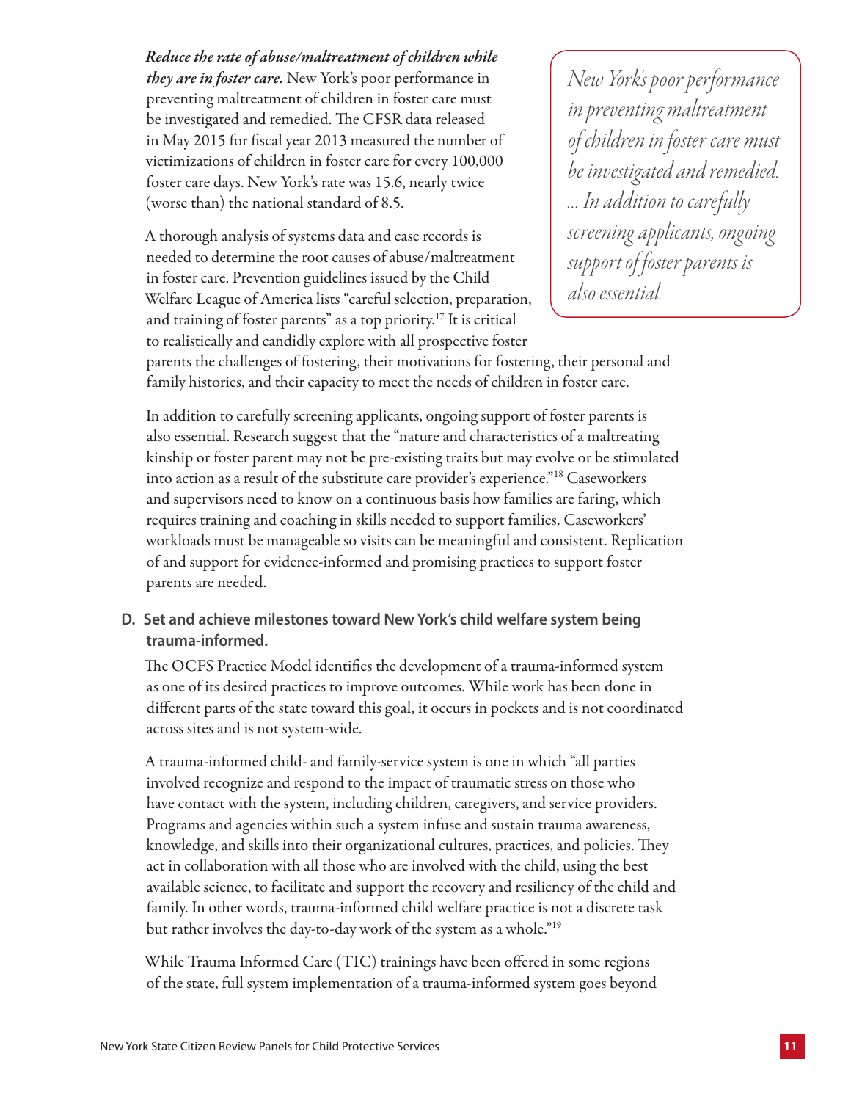*Reduce the rate of abuse/maltreatment of children while they are in foster care.* New York's poor performance in preventing maltreatment of children in foster care must be investigated and remedied. The CFSR data released in May 2015 for fiscal year 2013 measured the number of victimizations of children in foster care for every 100,000 foster care days. New York's rate was 15.6, nearly twice (worse than) the national standard of 8.5.

A thorough analysis of systems data and case records is needed to determine the root causes of abuse/maltreatment in foster care. Prevention guidelines issued by the Child Welfare League of America lists "careful selection, preparation, and training of foster parents" as a top priority.17 It is critical to realistically and candidly explore with all prospective foster

*New York's poor performance in preventing maltreatment of children in foster care must be investigated and remedied. … In addition to carefully screening applicants, ongoing support of foster parents is also essential.*

parents the challenges of fostering, their motivations for fostering, their personal and family histories, and their capacity to meet the needs of children in foster care.

In addition to carefully screening applicants, ongoing support of foster parents is also essential. Research suggest that the "nature and characteristics of a maltreating kinship or foster parent may not be pre-existing traits but may evolve or be stimulated into action as a result of the substitute care provider's experience."18 Caseworkers and supervisors need to know on a continuous basis how families are faring, which requires training and coaching in skills needed to support families. Caseworkers' workloads must be manageable so visits can be meaningful and consistent. Replication of and support for evidence-informed and promising practices to support foster parents are needed.

**D. Set and achieve milestones toward New York's child welfare system being trauma-informed.** 

The OCFS Practice Model identifies the development of a trauma-informed system as one of its desired practices to improve outcomes. While work has been done in different parts of the state toward this goal, it occurs in pockets and is not coordinated across sites and is not system-wide.

A trauma-informed child- and family-service system is one in which "all parties involved recognize and respond to the impact of traumatic stress on those who have contact with the system, including children, caregivers, and service providers. Programs and agencies within such a system infuse and sustain trauma awareness, knowledge, and skills into their organizational cultures, practices, and policies. They act in collaboration with all those who are involved with the child, using the best available science, to facilitate and support the recovery and resiliency of the child and family. In other words, trauma-informed child welfare practice is not a discrete task but rather involves the day-to-day work of the system as a whole."19

While Trauma Informed Care (TIC) trainings have been offered in some regions of the state, full system implementation of a trauma-informed system goes beyond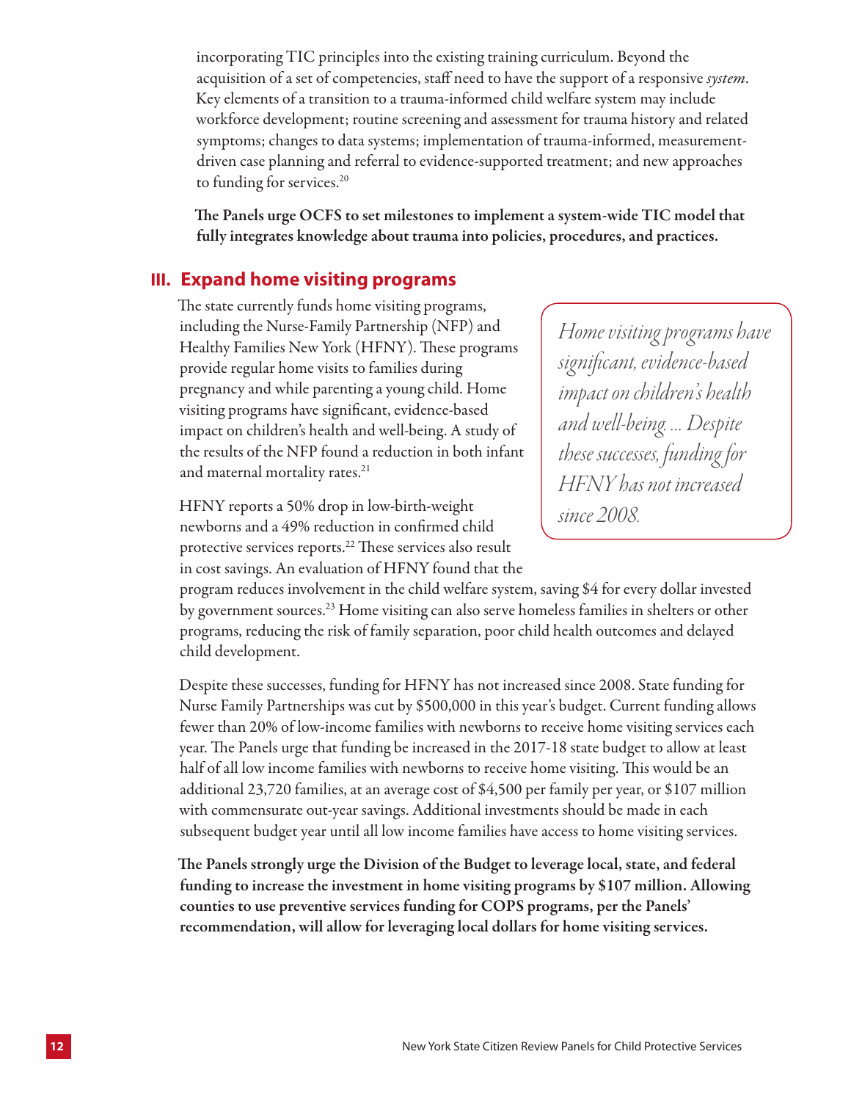incorporating TIC principles into the existing training curriculum. Beyond the acquisition of a set of competencies, staff need to have the support of a responsive *system*. Key elements of a transition to a trauma-informed child welfare system may include workforce development; routine screening and assessment for trauma history and related symptoms; changes to data systems; implementation of trauma-informed, measurementdriven case planning and referral to evidence-supported treatment; and new approaches to funding for services.<sup>20</sup>

The Panels urge OCFS to set milestones to implement a system-wide TIC model that fully integrates knowledge about trauma into policies, procedures, and practices.

### **III. Expand home visiting programs**

The state currently funds home visiting programs, including the Nurse-Family Partnership (NFP) and Healthy Families New York (HFNY). These programs provide regular home visits to families during pregnancy and while parenting a young child. Home visiting programs have significant, evidence-based impact on children's health and well-being. A study of the results of the NFP found a reduction in both infant and maternal mortality rates.<sup>21</sup>

HFNY reports a 50% drop in low-birth-weight newborns and a 49% reduction in confirmed child protective services reports.22 These services also result in cost savings. An evaluation of HFNY found that the *Home visiting programs have significant, evidence-based impact on children's health and well-being. … Despite these successes, funding for HFNY has not increased since 2008.*

program reduces involvement in the child welfare system, saving \$4 for every dollar invested by government sources.23 Home visiting can also serve homeless families in shelters or other programs, reducing the risk of family separation, poor child health outcomes and delayed child development.

Despite these successes, funding for HFNY has not increased since 2008. State funding for Nurse Family Partnerships was cut by \$500,000 in this year's budget. Current funding allows fewer than 20% of low-income families with newborns to receive home visiting services each year. The Panels urge that funding be increased in the 2017-18 state budget to allow at least half of all low income families with newborns to receive home visiting. This would be an additional 23,720 families, at an average cost of \$4,500 per family per year, or \$107 million with commensurate out-year savings. Additional investments should be made in each subsequent budget year until all low income families have access to home visiting services.

The Panels strongly urge the Division of the Budget to leverage local, state, and federal funding to increase the investment in home visiting programs by \$107 million. Allowing counties to use preventive services funding for COPS programs, per the Panels' recommendation, will allow for leveraging local dollars for home visiting services.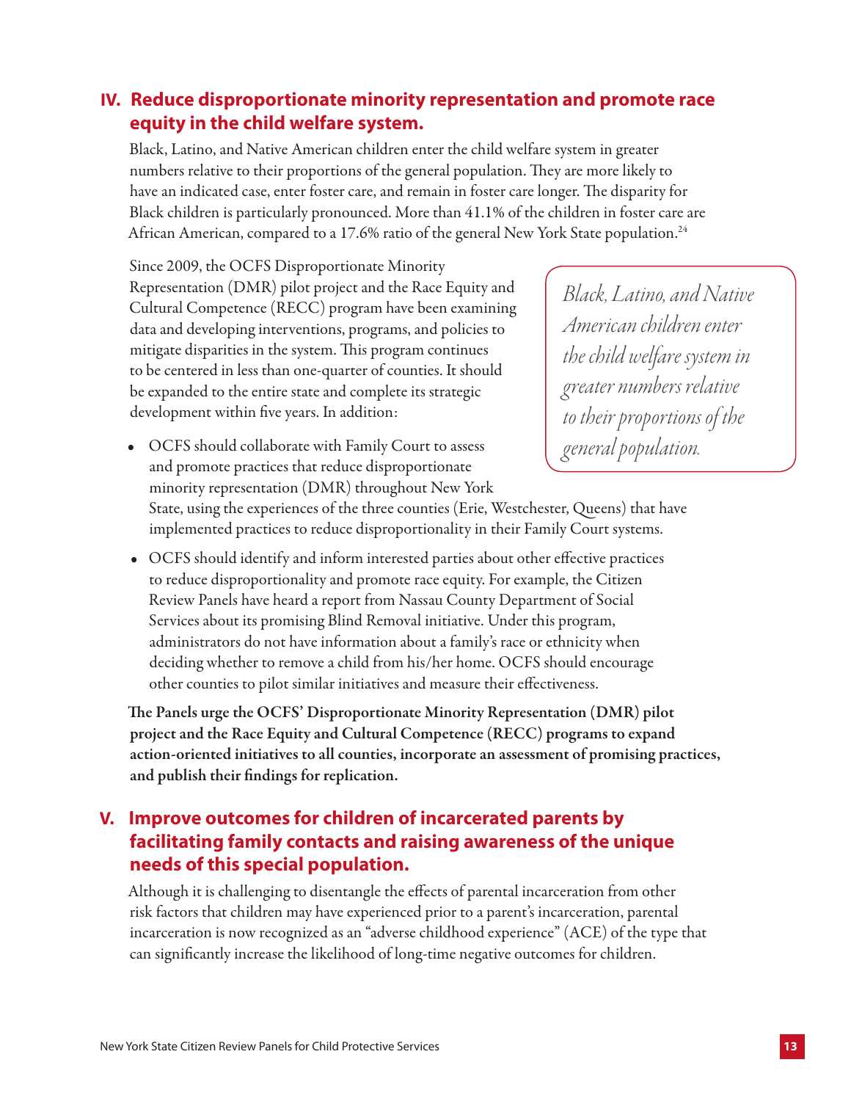## **IV. Reduce disproportionate minority representation and promote race equity in the child welfare system.**

Black, Latino, and Native American children enter the child welfare system in greater numbers relative to their proportions of the general population. They are more likely to have an indicated case, enter foster care, and remain in foster care longer. The disparity for Black children is particularly pronounced. More than 41.1% of the children in foster care are African American, compared to a 17.6% ratio of the general New York State population.<sup>24</sup>

Since 2009, the OCFS Disproportionate Minority Representation (DMR) pilot project and the Race Equity and Cultural Competence (RECC) program have been examining data and developing interventions, programs, and policies to mitigate disparities in the system. This program continues to be centered in less than one-quarter of counties. It should be expanded to the entire state and complete its strategic development within five years. In addition:

*Black, Latino, and Native American children enter the child welfare system in greater numbers relative to their proportions of the general population.* 

• OCFS should collaborate with Family Court to assess and promote practices that reduce disproportionate minority representation (DMR) throughout New York

State, using the experiences of the three counties (Erie, Westchester, Queens) that have implemented practices to reduce disproportionality in their Family Court systems.

• OCFS should identify and inform interested parties about other effective practices to reduce disproportionality and promote race equity. For example, the Citizen Review Panels have heard a report from Nassau County Department of Social Services about its promising Blind Removal initiative. Under this program, administrators do not have information about a family's race or ethnicity when deciding whether to remove a child from his/her home. OCFS should encourage other counties to pilot similar initiatives and measure their effectiveness.

The Panels urge the OCFS' Disproportionate Minority Representation (DMR) pilot project and the Race Equity and Cultural Competence (RECC) programs to expand action-oriented initiatives to all counties, incorporate an assessment of promising practices, and publish their findings for replication.

## **V. Improve outcomes for children of incarcerated parents by facilitating family contacts and raising awareness of the unique needs of this special population.**

Although it is challenging to disentangle the effects of parental incarceration from other risk factors that children may have experienced prior to a parent's incarceration, parental incarceration is now recognized as an "adverse childhood experience" (ACE) of the type that can significantly increase the likelihood of long-time negative outcomes for children.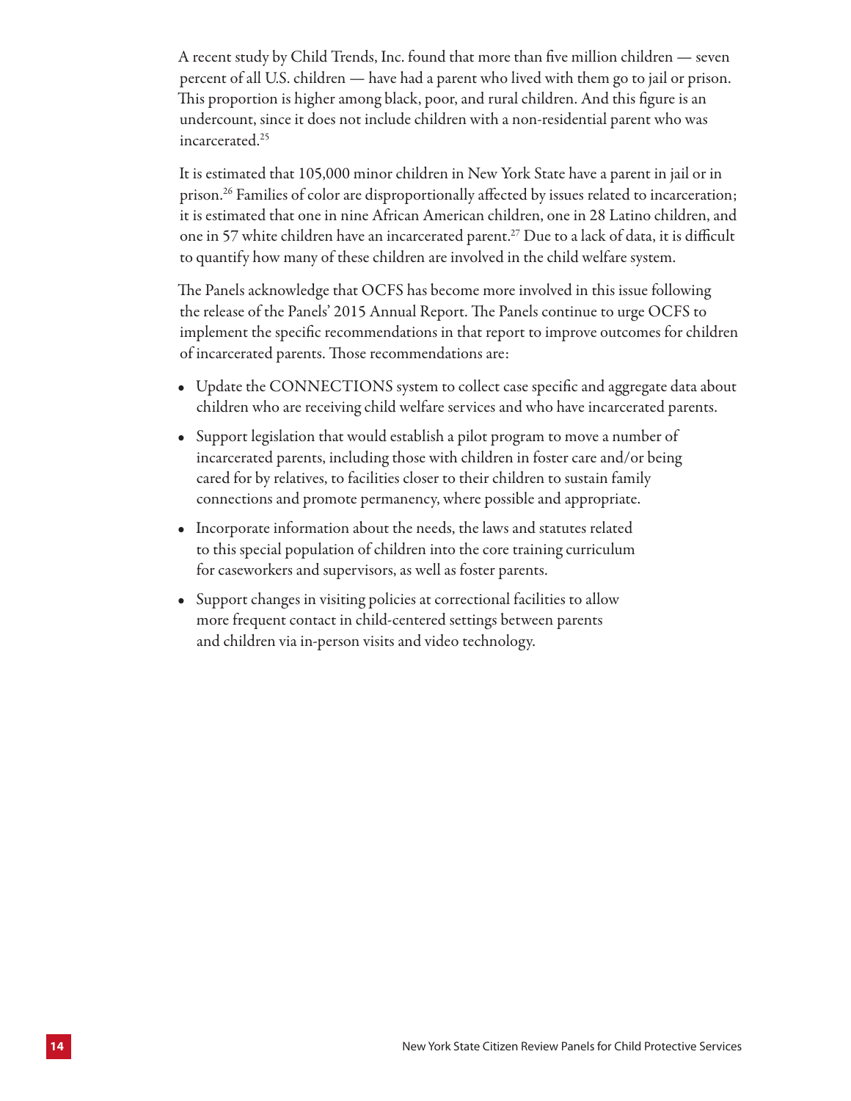A recent study by Child Trends, Inc. found that more than five million children — seven percent of all U.S. children — have had a parent who lived with them go to jail or prison. This proportion is higher among black, poor, and rural children. And this figure is an undercount, since it does not include children with a non-residential parent who was incarcerated.25

It is estimated that 105,000 minor children in New York State have a parent in jail or in prison.26 Families of color are disproportionally affected by issues related to incarceration; it is estimated that one in nine African American children, one in 28 Latino children, and one in 57 white children have an incarcerated parent.<sup>27</sup> Due to a lack of data, it is difficult to quantify how many of these children are involved in the child welfare system.

The Panels acknowledge that OCFS has become more involved in this issue following the release of the Panels' 2015 Annual Report. The Panels continue to urge OCFS to implement the specific recommendations in that report to improve outcomes for children of incarcerated parents. Those recommendations are:

- Update the CONNECTIONS system to collect case specific and aggregate data about children who are receiving child welfare services and who have incarcerated parents.
- Support legislation that would establish a pilot program to move a number of incarcerated parents, including those with children in foster care and/or being cared for by relatives, to facilities closer to their children to sustain family connections and promote permanency, where possible and appropriate.
- Incorporate information about the needs, the laws and statutes related to this special population of children into the core training curriculum for caseworkers and supervisors, as well as foster parents.
- Support changes in visiting policies at correctional facilities to allow more frequent contact in child-centered settings between parents and children via in-person visits and video technology.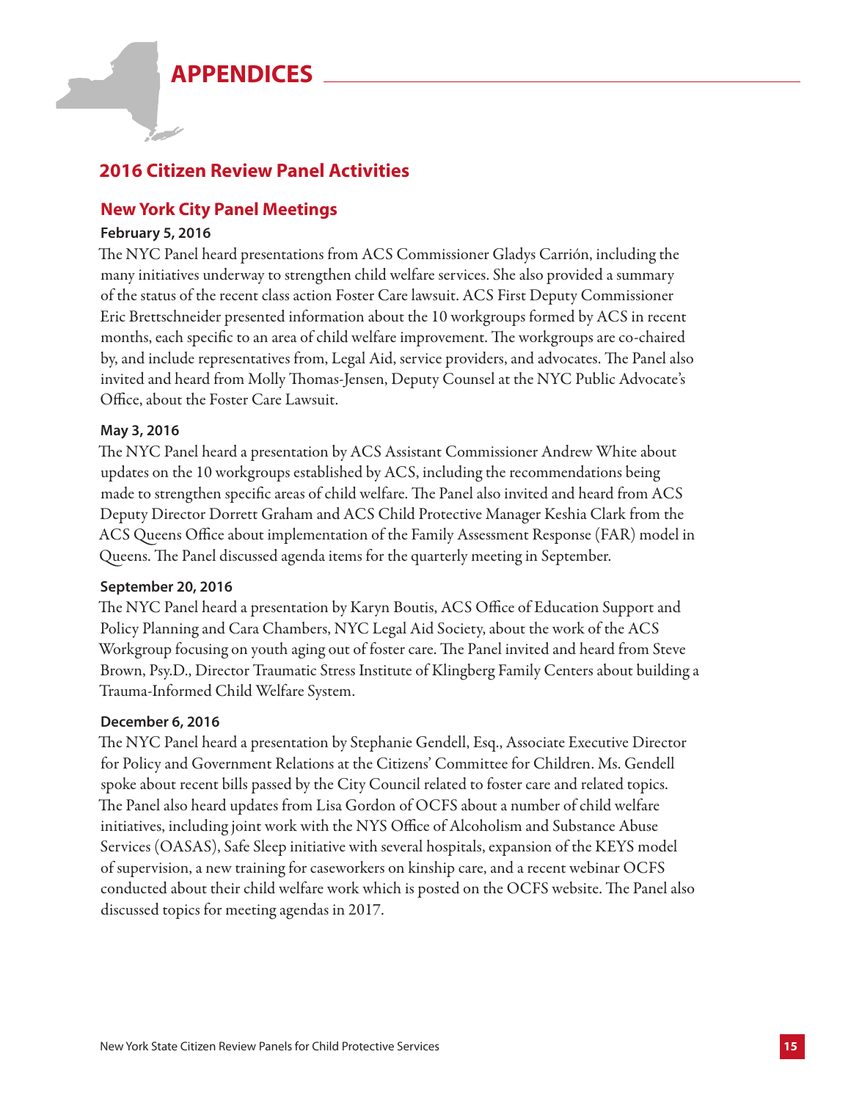# **APPENDICES**



## **2016 Citizen Review Panel Activities**

## **New York City Panel Meetings**

#### **February 5, 2016**

The NYC Panel heard presentations from ACS Commissioner Gladys Carrión, including the many initiatives underway to strengthen child welfare services. She also provided a summary of the status of the recent class action Foster Care lawsuit. ACS First Deputy Commissioner Eric Brettschneider presented information about the 10 workgroups formed by ACS in recent months, each specific to an area of child welfare improvement. The workgroups are co-chaired by, and include representatives from, Legal Aid, service providers, and advocates. The Panel also invited and heard from Molly Thomas-Jensen, Deputy Counsel at the NYC Public Advocate's Office, about the Foster Care Lawsuit.

#### **May 3, 2016**

The NYC Panel heard a presentation by ACS Assistant Commissioner Andrew White about updates on the 10 workgroups established by ACS, including the recommendations being made to strengthen specific areas of child welfare. The Panel also invited and heard from ACS Deputy Director Dorrett Graham and ACS Child Protective Manager Keshia Clark from the ACS Queens Office about implementation of the Family Assessment Response (FAR) model in Queens. The Panel discussed agenda items for the quarterly meeting in September.

#### **September 20, 2016**

The NYC Panel heard a presentation by Karyn Boutis, ACS Office of Education Support and Policy Planning and Cara Chambers, NYC Legal Aid Society, about the work of the ACS Workgroup focusing on youth aging out of foster care. The Panel invited and heard from Steve Brown, Psy.D., Director Traumatic Stress Institute of Klingberg Family Centers about building a Trauma-Informed Child Welfare System.

#### **December 6, 2016**

The NYC Panel heard a presentation by Stephanie Gendell, Esq., Associate Executive Director for Policy and Government Relations at the Citizens' Committee for Children. Ms. Gendell spoke about recent bills passed by the City Council related to foster care and related topics. The Panel also heard updates from Lisa Gordon of OCFS about a number of child welfare initiatives, including joint work with the NYS Office of Alcoholism and Substance Abuse Services (OASAS), Safe Sleep initiative with several hospitals, expansion of the KEYS model of supervision, a new training for caseworkers on kinship care, and a recent webinar OCFS conducted about their child welfare work which is posted on the OCFS website. The Panel also discussed topics for meeting agendas in 2017.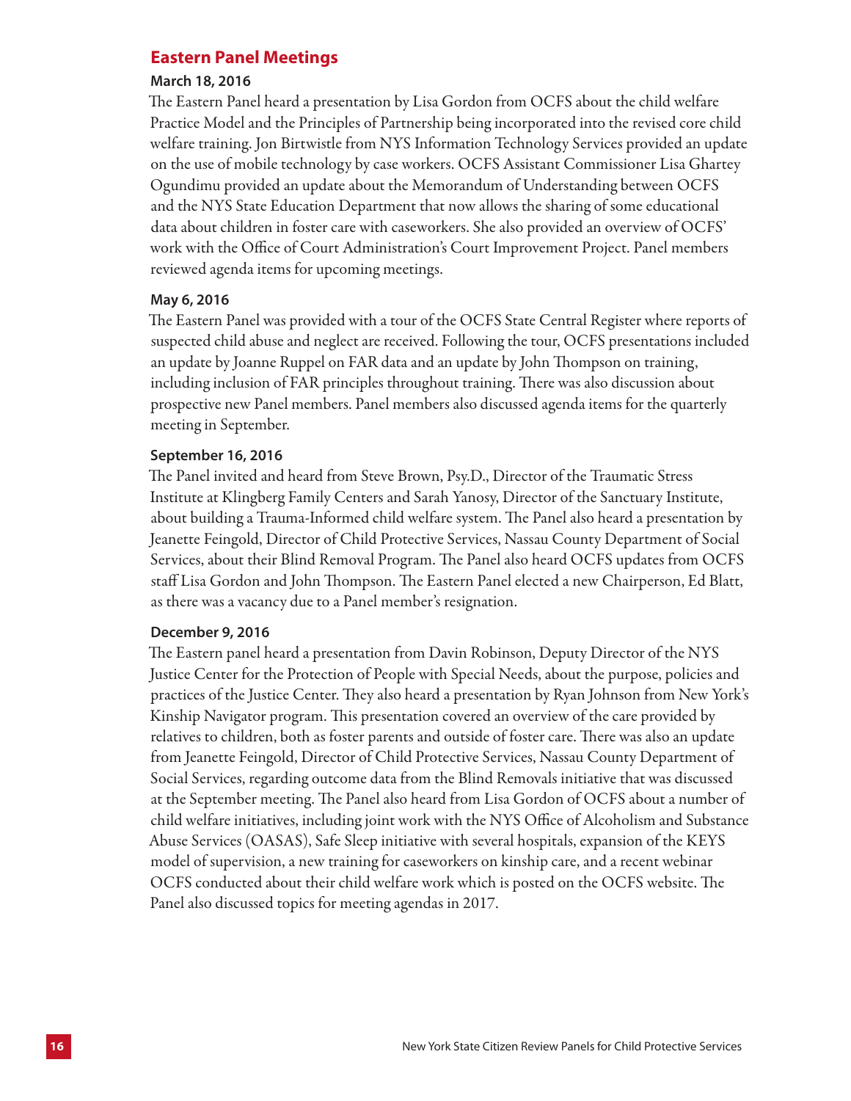#### **Eastern Panel Meetings**

#### **March 18, 2016**

The Eastern Panel heard a presentation by Lisa Gordon from OCFS about the child welfare Practice Model and the Principles of Partnership being incorporated into the revised core child welfare training. Jon Birtwistle from NYS Information Technology Services provided an update on the use of mobile technology by case workers. OCFS Assistant Commissioner Lisa Ghartey Ogundimu provided an update about the Memorandum of Understanding between OCFS and the NYS State Education Department that now allows the sharing of some educational data about children in foster care with caseworkers. She also provided an overview of OCFS' work with the Office of Court Administration's Court Improvement Project. Panel members reviewed agenda items for upcoming meetings.

#### **May 6, 2016**

The Eastern Panel was provided with a tour of the OCFS State Central Register where reports of suspected child abuse and neglect are received. Following the tour, OCFS presentations included an update by Joanne Ruppel on FAR data and an update by John Thompson on training, including inclusion of FAR principles throughout training. There was also discussion about prospective new Panel members. Panel members also discussed agenda items for the quarterly meeting in September.

#### **September 16, 2016**

The Panel invited and heard from Steve Brown, Psy.D., Director of the Traumatic Stress Institute at Klingberg Family Centers and Sarah Yanosy, Director of the Sanctuary Institute, about building a Trauma-Informed child welfare system. The Panel also heard a presentation by Jeanette Feingold, Director of Child Protective Services, Nassau County Department of Social Services, about their Blind Removal Program. The Panel also heard OCFS updates from OCFS staff Lisa Gordon and John Thompson. The Eastern Panel elected a new Chairperson, Ed Blatt, as there was a vacancy due to a Panel member's resignation.

#### **December 9, 2016**

The Eastern panel heard a presentation from Davin Robinson, Deputy Director of the NYS Justice Center for the Protection of People with Special Needs, about the purpose, policies and practices of the Justice Center. They also heard a presentation by Ryan Johnson from New York's Kinship Navigator program. This presentation covered an overview of the care provided by relatives to children, both as foster parents and outside of foster care. There was also an update from Jeanette Feingold, Director of Child Protective Services, Nassau County Department of Social Services, regarding outcome data from the Blind Removals initiative that was discussed at the September meeting. The Panel also heard from Lisa Gordon of OCFS about a number of child welfare initiatives, including joint work with the NYS Office of Alcoholism and Substance Abuse Services (OASAS), Safe Sleep initiative with several hospitals, expansion of the KEYS model of supervision, a new training for caseworkers on kinship care, and a recent webinar OCFS conducted about their child welfare work which is posted on the OCFS website. The Panel also discussed topics for meeting agendas in 2017.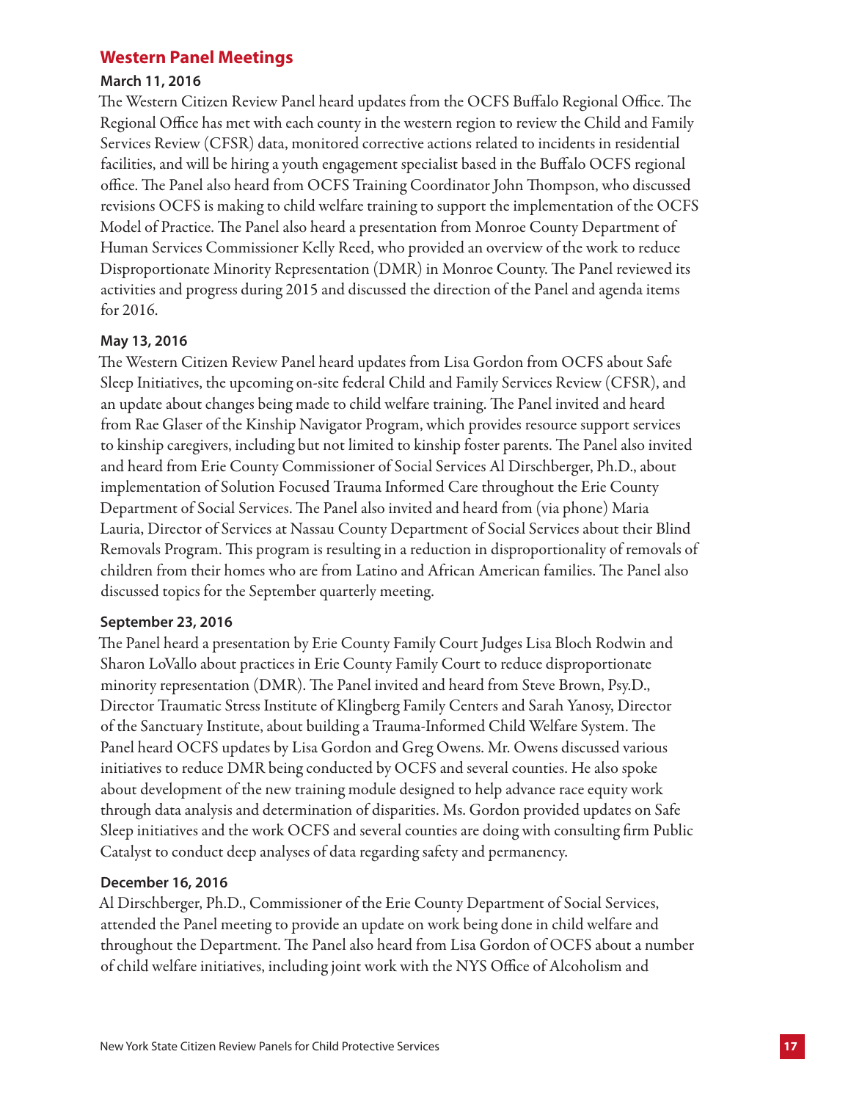### **Western Panel Meetings**

#### **March 11, 2016**

The Western Citizen Review Panel heard updates from the OCFS Buffalo Regional Office. The Regional Office has met with each county in the western region to review the Child and Family Services Review (CFSR) data, monitored corrective actions related to incidents in residential facilities, and will be hiring a youth engagement specialist based in the Buffalo OCFS regional office. The Panel also heard from OCFS Training Coordinator John Thompson, who discussed revisions OCFS is making to child welfare training to support the implementation of the OCFS Model of Practice. The Panel also heard a presentation from Monroe County Department of Human Services Commissioner Kelly Reed, who provided an overview of the work to reduce Disproportionate Minority Representation (DMR) in Monroe County. The Panel reviewed its activities and progress during 2015 and discussed the direction of the Panel and agenda items for 2016.

#### **May 13, 2016**

The Western Citizen Review Panel heard updates from Lisa Gordon from OCFS about Safe Sleep Initiatives, the upcoming on-site federal Child and Family Services Review (CFSR), and an update about changes being made to child welfare training. The Panel invited and heard from Rae Glaser of the Kinship Navigator Program, which provides resource support services to kinship caregivers, including but not limited to kinship foster parents. The Panel also invited and heard from Erie County Commissioner of Social Services Al Dirschberger, Ph.D., about implementation of Solution Focused Trauma Informed Care throughout the Erie County Department of Social Services. The Panel also invited and heard from (via phone) Maria Lauria, Director of Services at Nassau County Department of Social Services about their Blind Removals Program. This program is resulting in a reduction in disproportionality of removals of children from their homes who are from Latino and African American families. The Panel also discussed topics for the September quarterly meeting.

#### **September 23, 2016**

The Panel heard a presentation by Erie County Family Court Judges Lisa Bloch Rodwin and Sharon LoVallo about practices in Erie County Family Court to reduce disproportionate minority representation (DMR). The Panel invited and heard from Steve Brown, Psy.D., Director Traumatic Stress Institute of Klingberg Family Centers and Sarah Yanosy, Director of the Sanctuary Institute, about building a Trauma-Informed Child Welfare System. The Panel heard OCFS updates by Lisa Gordon and Greg Owens. Mr. Owens discussed various initiatives to reduce DMR being conducted by OCFS and several counties. He also spoke about development of the new training module designed to help advance race equity work through data analysis and determination of disparities. Ms. Gordon provided updates on Safe Sleep initiatives and the work OCFS and several counties are doing with consulting firm Public Catalyst to conduct deep analyses of data regarding safety and permanency.

#### **December 16, 2016**

Al Dirschberger, Ph.D., Commissioner of the Erie County Department of Social Services, attended the Panel meeting to provide an update on work being done in child welfare and throughout the Department. The Panel also heard from Lisa Gordon of OCFS about a number of child welfare initiatives, including joint work with the NYS Office of Alcoholism and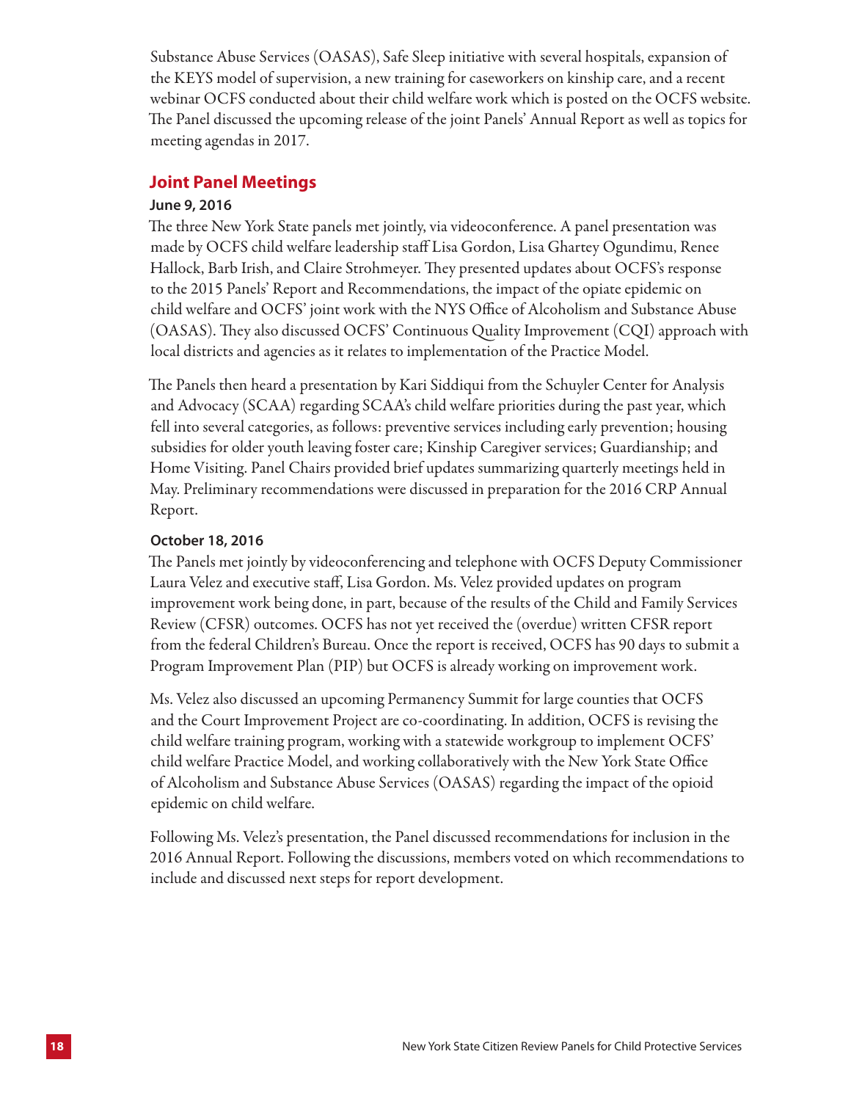Substance Abuse Services (OASAS), Safe Sleep initiative with several hospitals, expansion of the KEYS model of supervision, a new training for caseworkers on kinship care, and a recent webinar OCFS conducted about their child welfare work which is posted on the OCFS website. The Panel discussed the upcoming release of the joint Panels' Annual Report as well as topics for meeting agendas in 2017.

#### **Joint Panel Meetings**

#### **June 9, 2016**

The three New York State panels met jointly, via videoconference. A panel presentation was made by OCFS child welfare leadership staff Lisa Gordon, Lisa Ghartey Ogundimu, Renee Hallock, Barb Irish, and Claire Strohmeyer. They presented updates about OCFS's response to the 2015 Panels' Report and Recommendations, the impact of the opiate epidemic on child welfare and OCFS' joint work with the NYS Office of Alcoholism and Substance Abuse (OASAS). They also discussed OCFS' Continuous Quality Improvement (CQI) approach with local districts and agencies as it relates to implementation of the Practice Model.

The Panels then heard a presentation by Kari Siddiqui from the Schuyler Center for Analysis and Advocacy (SCAA) regarding SCAA's child welfare priorities during the past year, which fell into several categories, as follows: preventive services including early prevention; housing subsidies for older youth leaving foster care; Kinship Caregiver services; Guardianship; and Home Visiting. Panel Chairs provided brief updates summarizing quarterly meetings held in May. Preliminary recommendations were discussed in preparation for the 2016 CRP Annual Report.

#### **October 18, 2016**

The Panels met jointly by videoconferencing and telephone with OCFS Deputy Commissioner Laura Velez and executive staff, Lisa Gordon. Ms. Velez provided updates on program improvement work being done, in part, because of the results of the Child and Family Services Review (CFSR) outcomes. OCFS has not yet received the (overdue) written CFSR report from the federal Children's Bureau. Once the report is received, OCFS has 90 days to submit a Program Improvement Plan (PIP) but OCFS is already working on improvement work.

Ms. Velez also discussed an upcoming Permanency Summit for large counties that OCFS and the Court Improvement Project are co-coordinating. In addition, OCFS is revising the child welfare training program, working with a statewide workgroup to implement OCFS' child welfare Practice Model, and working collaboratively with the New York State Office of Alcoholism and Substance Abuse Services (OASAS) regarding the impact of the opioid epidemic on child welfare.

Following Ms. Velez's presentation, the Panel discussed recommendations for inclusion in the 2016 Annual Report. Following the discussions, members voted on which recommendations to include and discussed next steps for report development.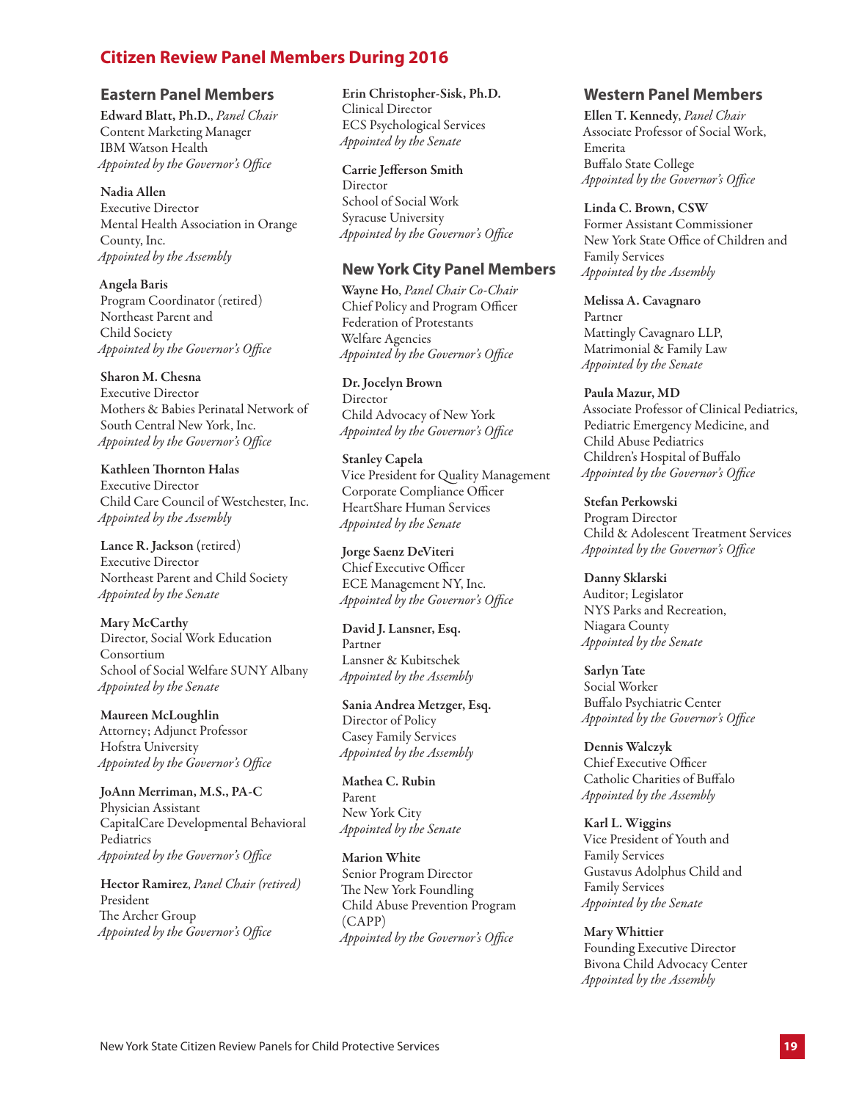## **Citizen Review Panel Members During 2016**

#### **Eastern Panel Members**

Edward Blatt, Ph.D., *Panel Chair* Content Marketing Manager IBM Watson Health *Appointed by the Governor's Office*

Nadia Allen Executive Director

Mental Health Association in Orange County, Inc. *Appointed by the Assembly*

Angela Baris Program Coordinator (retired) Northeast Parent and Child Society *Appointed by the Governor's Office*

Sharon M. Chesna Executive Director Mothers & Babies Perinatal Network of South Central New York, Inc. *Appointed by the Governor's Office*

Kathleen Thornton Halas Executive Director Child Care Council of Westchester, Inc. *Appointed by the Assembly*

Lance R. Jackson (retired) Executive Director Northeast Parent and Child Society *Appointed by the Senate*

Mary McCarthy Director, Social Work Education Consortium School of Social Welfare SUNY Albany *Appointed by the Senate*

Maureen McLoughlin Attorney; Adjunct Professor Hofstra University *Appointed by the Governor's Office*

JoAnn Merriman, M.S., PA-C Physician Assistant CapitalCare Developmental Behavioral Pediatrics *Appointed by the Governor's Office*

Hector Ramirez, *Panel Chair (retired)* President The Archer Group *Appointed by the Governor's Office*

Erin Christopher-Sisk, Ph.D.

Clinical Director ECS Psychological Services *Appointed by the Senate*

Carrie Jefferson Smith

Director School of Social Work Syracuse University *Appointed by the Governor's Office*

#### **New York City Panel Members**

Wayne Ho, *Panel Chair Co-Chair* Chief Policy and Program Officer Federation of Protestants Welfare Agencies *Appointed by the Governor's Office*

Dr. Jocelyn Brown Director Child Advocacy of New York *Appointed by the Governor's Office* 

Stanley Capela Vice President for Quality Management Corporate Compliance Officer HeartShare Human Services *Appointed by the Senate*

Jorge Saenz DeViteri Chief Executive Officer ECE Management NY, Inc. *Appointed by the Governor's Office* 

David J. Lansner, Esq. Partner Lansner & Kubitschek *Appointed by the Assembly*

Sania Andrea Metzger, Esq. Director of Policy Casey Family Services *Appointed by the Assembly*

Mathea C. Rubin Parent New York City *Appointed by the Senate*

Marion White Senior Program Director The New York Foundling Child Abuse Prevention Program (CAPP) *Appointed by the Governor's Office*

#### **Western Panel Members**

Ellen T. Kennedy, *Panel Chair* Associate Professor of Social Work, Emerita Buffalo State College *Appointed by the Governor's Office*

Linda C. Brown, CSW Former Assistant Commissioner New York State Office of Children and Family Services *Appointed by the Assembly*

Melissa A. Cavagnaro Partner Mattingly Cavagnaro LLP, Matrimonial & Family Law *Appointed by the Senate*

Paula Mazur, MD Associate Professor of Clinical Pediatrics, Pediatric Emergency Medicine, and Child Abuse Pediatrics Children's Hospital of Buffalo *Appointed by the Governor's Office*

Stefan Perkowski Program Director Child & Adolescent Treatment Services *Appointed by the Governor's Office*

Danny Sklarski Auditor; Legislator NYS Parks and Recreation, Niagara County *Appointed by the Senate*

Sarlyn Tate Social Worker Buffalo Psychiatric Center *Appointed by the Governor's Office*

Dennis Walczyk Chief Executive Officer Catholic Charities of Buffalo *Appointed by the Assembly*

Karl L. Wiggins Vice President of Youth and Family Services Gustavus Adolphus Child and Family Services *Appointed by the Senate*

Mary Whittier Founding Executive Director Bivona Child Advocacy Center *Appointed by the Assembly*